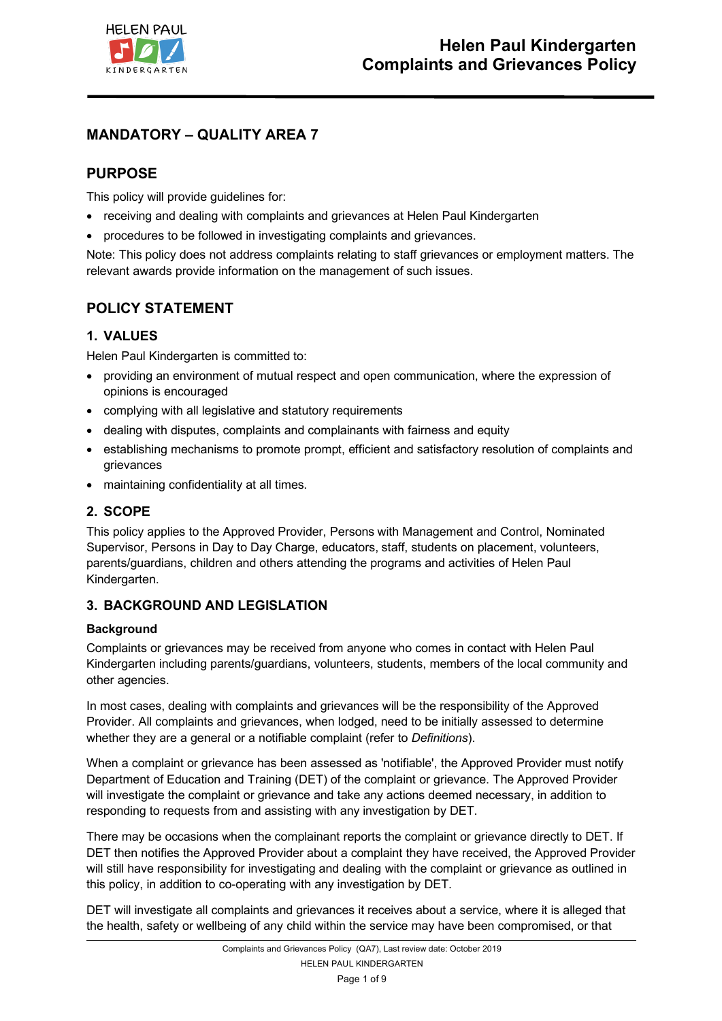

# **MANDATORY – QUALITY AREA 7**

# **PURPOSE**

This policy will provide guidelines for:

- receiving and dealing with complaints and grievances at Helen Paul Kindergarten
- procedures to be followed in investigating complaints and grievances.

Note: This policy does not address complaints relating to staff grievances or employment matters. The relevant awards provide information on the management of such issues.

# **POLICY STATEMENT**

# **1. VALUES**

Helen Paul Kindergarten is committed to:

- providing an environment of mutual respect and open communication, where the expression of opinions is encouraged
- complying with all legislative and statutory requirements
- dealing with disputes, complaints and complainants with fairness and equity
- establishing mechanisms to promote prompt, efficient and satisfactory resolution of complaints and grievances
- maintaining confidentiality at all times.

## **2. SCOPE**

This policy applies to the Approved Provider, Persons with Management and Control, Nominated Supervisor, Persons in Day to Day Charge, educators, staff, students on placement, volunteers, parents/guardians, children and others attending the programs and activities of Helen Paul Kindergarten.

# **3. BACKGROUND AND LEGISLATION**

### **Background**

Complaints or grievances may be received from anyone who comes in contact with Helen Paul Kindergarten including parents/guardians, volunteers, students, members of the local community and other agencies.

In most cases, dealing with complaints and grievances will be the responsibility of the Approved Provider. All complaints and grievances, when lodged, need to be initially assessed to determine whether they are a general or a notifiable complaint (refer to *Definitions*).

When a complaint or grievance has been assessed as 'notifiable', the Approved Provider must notify Department of Education and Training (DET) of the complaint or grievance. The Approved Provider will investigate the complaint or grievance and take any actions deemed necessary, in addition to responding to requests from and assisting with any investigation by DET.

There may be occasions when the complainant reports the complaint or grievance directly to DET. If DET then notifies the Approved Provider about a complaint they have received, the Approved Provider will still have responsibility for investigating and dealing with the complaint or grievance as outlined in this policy, in addition to co-operating with any investigation by DET.

DET will investigate all complaints and grievances it receives about a service, where it is alleged that the health, safety or wellbeing of any child within the service may have been compromised, or that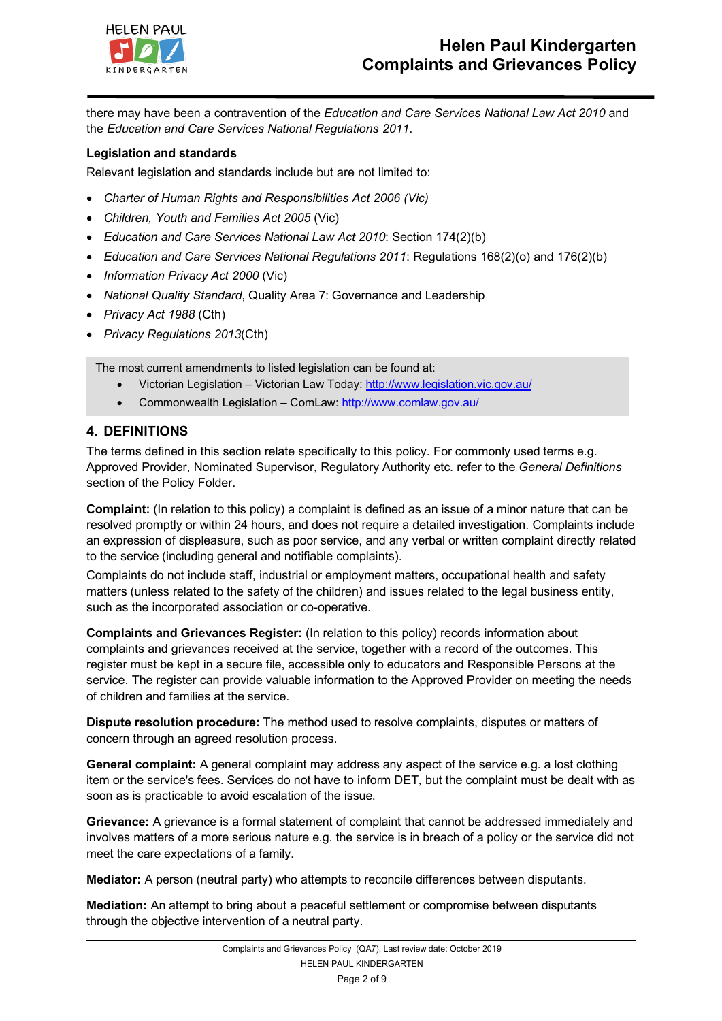

there may have been a contravention of the *Education and Care Services National Law Act 2010* and the *Education and Care Services National Regulations 2011*.

#### **Legislation and standards**

Relevant legislation and standards include but are not limited to:

- *Charter of Human Rights and Responsibilities Act 2006 (Vic)*
- *Children, Youth and Families Act 2005* (Vic)
- *Education and Care Services National Law Act 2010*: Section 174(2)(b)
- *Education and Care Services National Regulations 2011*: Regulations 168(2)(o) and 176(2)(b)
- *Information Privacy Act 2000* (Vic)
- *National Quality Standard*, Quality Area 7: Governance and Leadership
- *Privacy Act 1988* (Cth)
- *Privacy Regulations 2013*(Cth)

The most current amendments to listed legislation can be found at:

- Victorian Legislation Victorian Law Today: http://www.legislation.vic.gov.au/
- Commonwealth Legislation ComLaw: http://www.comlaw.gov.au/

### **4. DEFINITIONS**

The terms defined in this section relate specifically to this policy. For commonly used terms e.g. Approved Provider, Nominated Supervisor, Regulatory Authority etc. refer to the *General Definitions* section of the Policy Folder.

**Complaint:** (In relation to this policy) a complaint is defined as an issue of a minor nature that can be resolved promptly or within 24 hours, and does not require a detailed investigation. Complaints include an expression of displeasure, such as poor service, and any verbal or written complaint directly related to the service (including general and notifiable complaints).

Complaints do not include staff, industrial or employment matters, occupational health and safety matters (unless related to the safety of the children) and issues related to the legal business entity, such as the incorporated association or co-operative.

**Complaints and Grievances Register:** (In relation to this policy) records information about complaints and grievances received at the service, together with a record of the outcomes. This register must be kept in a secure file, accessible only to educators and Responsible Persons at the service. The register can provide valuable information to the Approved Provider on meeting the needs of children and families at the service.

**Dispute resolution procedure:** The method used to resolve complaints, disputes or matters of concern through an agreed resolution process.

**General complaint:** A general complaint may address any aspect of the service e.g. a lost clothing item or the service's fees. Services do not have to inform DET, but the complaint must be dealt with as soon as is practicable to avoid escalation of the issue.

**Grievance:** A grievance is a formal statement of complaint that cannot be addressed immediately and involves matters of a more serious nature e.g. the service is in breach of a policy or the service did not meet the care expectations of a family.

**Mediator:** A person (neutral party) who attempts to reconcile differences between disputants.

**Mediation:** An attempt to bring about a peaceful settlement or compromise between disputants through the objective intervention of a neutral party.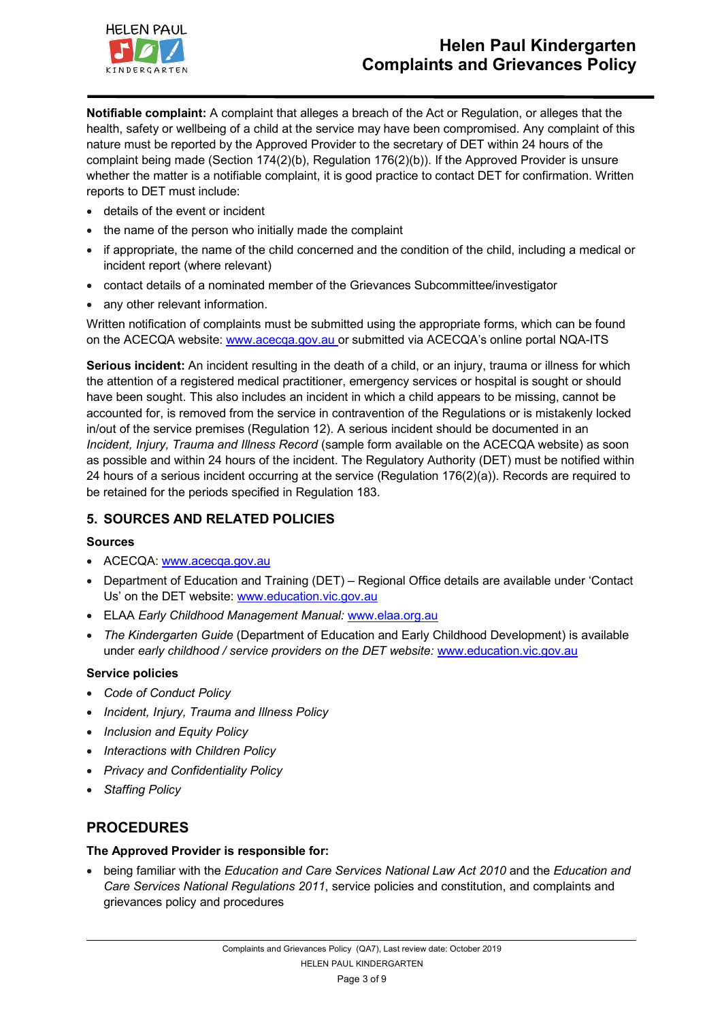

**Notifiable complaint:** A complaint that alleges a breach of the Act or Regulation, or alleges that the health, safety or wellbeing of a child at the service may have been compromised. Any complaint of this nature must be reported by the Approved Provider to the secretary of DET within 24 hours of the complaint being made (Section 174(2)(b), Regulation 176(2)(b)). If the Approved Provider is unsure whether the matter is a notifiable complaint, it is good practice to contact DET for confirmation. Written reports to DET must include:

- details of the event or incident
- the name of the person who initially made the complaint
- if appropriate, the name of the child concerned and the condition of the child, including a medical or incident report (where relevant)
- contact details of a nominated member of the Grievances Subcommittee/investigator
- any other relevant information.

Written notification of complaints must be submitted using the appropriate forms, which can be found on the ACECQA website: www.acecqa.gov.au or submitted via ACECQA's online portal NQA-ITS

**Serious incident:** An incident resulting in the death of a child, or an injury, trauma or illness for which the attention of a registered medical practitioner, emergency services or hospital is sought or should have been sought. This also includes an incident in which a child appears to be missing, cannot be accounted for, is removed from the service in contravention of the Regulations or is mistakenly locked in/out of the service premises (Regulation 12). A serious incident should be documented in an *Incident, Injury, Trauma and Illness Record* (sample form available on the ACECQA website) as soon as possible and within 24 hours of the incident. The Regulatory Authority (DET) must be notified within 24 hours of a serious incident occurring at the service (Regulation 176(2)(a)). Records are required to be retained for the periods specified in Regulation 183.

### **5. SOURCES AND RELATED POLICIES**

### **Sources**

- ACECQA: www.acecqa.gov.au
- Department of Education and Training (DET) Regional Office details are available under 'Contact Us' on the DET website: www.education.vic.gov.au
- ELAA *Early Childhood Management Manual:* www.elaa.org.au
- *The Kindergarten Guide* (Department of Education and Early Childhood Development) is available under *early childhood / service providers on the DET website:* www.education.vic.gov.au

### **Service policies**

- *Code of Conduct Policy*
- *Incident, Injury, Trauma and Illness Policy*
- *Inclusion and Equity Policy*
- *Interactions with Children Policy*
- *Privacy and Confidentiality Policy*
- *Staffing Policy*

# **PROCEDURES**

### **The Approved Provider is responsible for:**

• being familiar with the *Education and Care Services National Law Act 2010* and the *Education and Care Services National Regulations 2011*, service policies and constitution, and complaints and grievances policy and procedures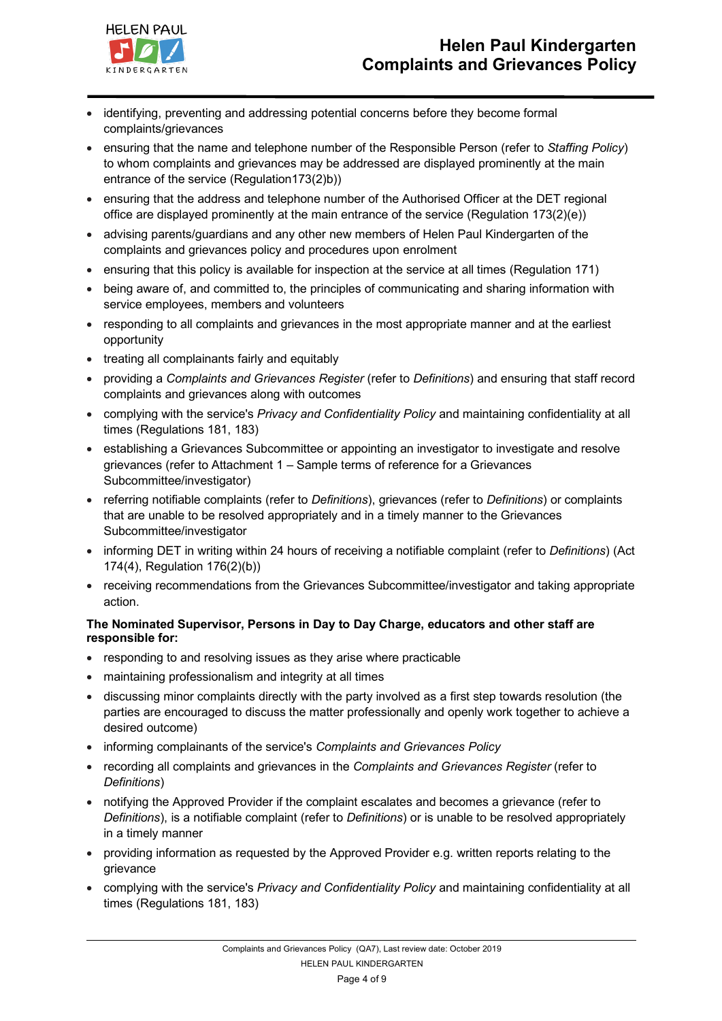

- identifying, preventing and addressing potential concerns before they become formal complaints/grievances
- ensuring that the name and telephone number of the Responsible Person (refer to *Staffing Policy*) to whom complaints and grievances may be addressed are displayed prominently at the main entrance of the service (Regulation173(2)b))
- ensuring that the address and telephone number of the Authorised Officer at the DET regional office are displayed prominently at the main entrance of the service (Regulation 173(2)(e))
- advising parents/guardians and any other new members of Helen Paul Kindergarten of the complaints and grievances policy and procedures upon enrolment
- ensuring that this policy is available for inspection at the service at all times (Regulation 171)
- being aware of, and committed to, the principles of communicating and sharing information with service employees, members and volunteers
- responding to all complaints and grievances in the most appropriate manner and at the earliest opportunity
- treating all complainants fairly and equitably
- providing a *Complaints and Grievances Register* (refer to *Definitions*) and ensuring that staff record complaints and grievances along with outcomes
- complying with the service's *Privacy and Confidentiality Policy* and maintaining confidentiality at all times (Regulations 181, 183)
- establishing a Grievances Subcommittee or appointing an investigator to investigate and resolve grievances (refer to Attachment 1 – Sample terms of reference for a Grievances Subcommittee/investigator)
- referring notifiable complaints (refer to *Definitions*), grievances (refer to *Definitions*) or complaints that are unable to be resolved appropriately and in a timely manner to the Grievances Subcommittee/investigator
- informing DET in writing within 24 hours of receiving a notifiable complaint (refer to *Definitions*) (Act 174(4), Regulation 176(2)(b))
- receiving recommendations from the Grievances Subcommittee/investigator and taking appropriate action.

### **The Nominated Supervisor, Persons in Day to Day Charge, educators and other staff are responsible for:**

- responding to and resolving issues as they arise where practicable
- maintaining professionalism and integrity at all times
- discussing minor complaints directly with the party involved as a first step towards resolution (the parties are encouraged to discuss the matter professionally and openly work together to achieve a desired outcome)
- informing complainants of the service's *Complaints and Grievances Policy*
- recording all complaints and grievances in the *Complaints and Grievances Register* (refer to *Definitions*)
- notifying the Approved Provider if the complaint escalates and becomes a grievance (refer to *Definitions*), is a notifiable complaint (refer to *Definitions*) or is unable to be resolved appropriately in a timely manner
- providing information as requested by the Approved Provider e.g. written reports relating to the grievance
- complying with the service's *Privacy and Confidentiality Policy* and maintaining confidentiality at all times (Regulations 181, 183)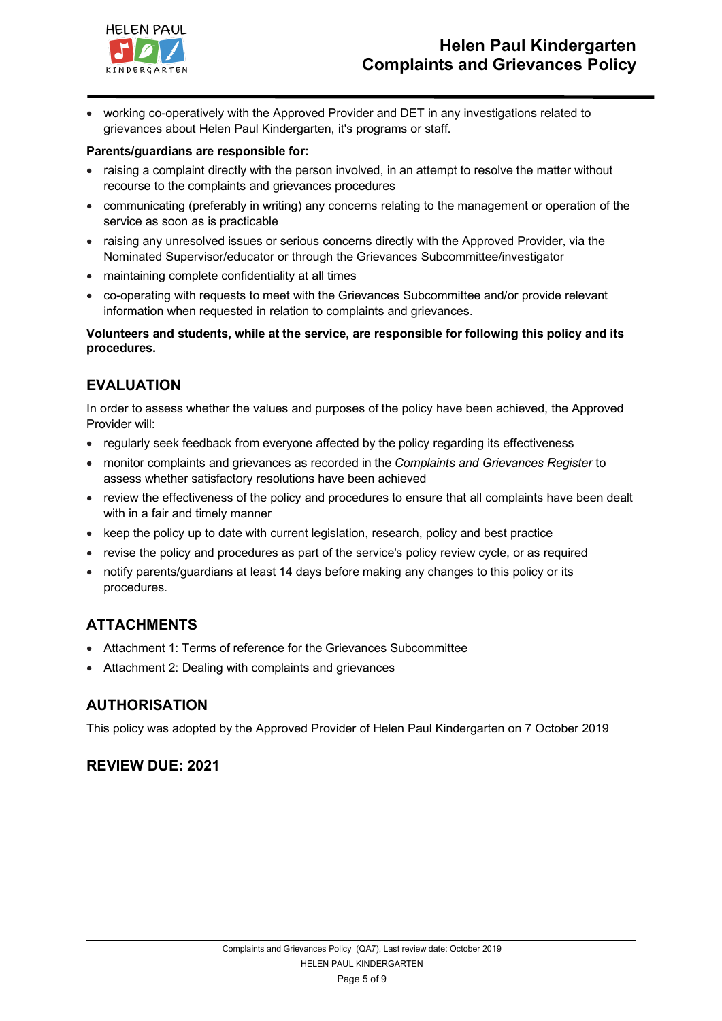

• working co-operatively with the Approved Provider and DET in any investigations related to grievances about Helen Paul Kindergarten, it's programs or staff.

### **Parents/guardians are responsible for:**

- raising a complaint directly with the person involved, in an attempt to resolve the matter without recourse to the complaints and grievances procedures
- communicating (preferably in writing) any concerns relating to the management or operation of the service as soon as is practicable
- raising any unresolved issues or serious concerns directly with the Approved Provider, via the Nominated Supervisor/educator or through the Grievances Subcommittee/investigator
- maintaining complete confidentiality at all times
- co-operating with requests to meet with the Grievances Subcommittee and/or provide relevant information when requested in relation to complaints and grievances.

**Volunteers and students, while at the service, are responsible for following this policy and its procedures.**

## **EVALUATION**

In order to assess whether the values and purposes of the policy have been achieved, the Approved Provider will:

- regularly seek feedback from everyone affected by the policy regarding its effectiveness
- monitor complaints and grievances as recorded in the *Complaints and Grievances Register* to assess whether satisfactory resolutions have been achieved
- review the effectiveness of the policy and procedures to ensure that all complaints have been dealt with in a fair and timely manner
- keep the policy up to date with current legislation, research, policy and best practice
- revise the policy and procedures as part of the service's policy review cycle, or as required
- notify parents/guardians at least 14 days before making any changes to this policy or its procedures.

# **ATTACHMENTS**

- Attachment 1: Terms of reference for the Grievances Subcommittee
- Attachment 2: Dealing with complaints and grievances

### **AUTHORISATION**

This policy was adopted by the Approved Provider of Helen Paul Kindergarten on 7 October 2019

# **REVIEW DUE: 2021**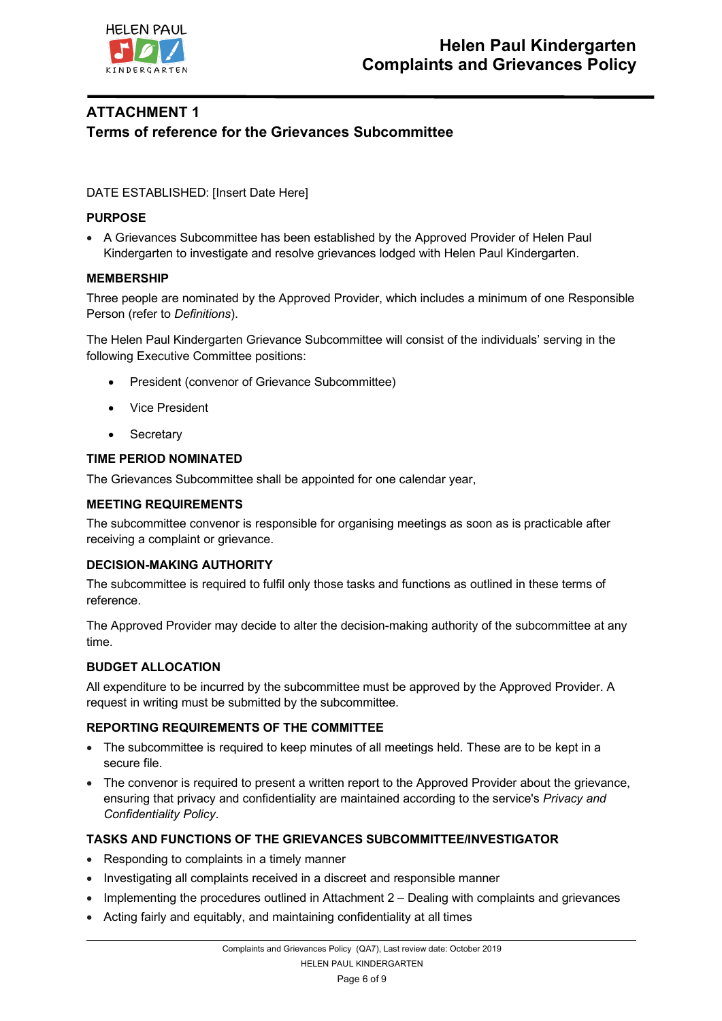

# **ATTACHMENT 1 Terms of reference for the Grievances Subcommittee**

### DATE ESTABLISHED: [Insert Date Here]

### **PURPOSE**

• A Grievances Subcommittee has been established by the Approved Provider of Helen Paul Kindergarten to investigate and resolve grievances lodged with Helen Paul Kindergarten.

### **MEMBERSHIP**

Three people are nominated by the Approved Provider, which includes a minimum of one Responsible Person (refer to *Definitions*).

The Helen Paul Kindergarten Grievance Subcommittee will consist of the individuals' serving in the following Executive Committee positions:

- President (convenor of Grievance Subcommittee)
- Vice President
- Secretary

### **TIME PERIOD NOMINATED**

The Grievances Subcommittee shall be appointed for one calendar year,

### **MEETING REQUIREMENTS**

The subcommittee convenor is responsible for organising meetings as soon as is practicable after receiving a complaint or grievance.

### **DECISION-MAKING AUTHORITY**

The subcommittee is required to fulfil only those tasks and functions as outlined in these terms of reference.

The Approved Provider may decide to alter the decision-making authority of the subcommittee at any time.

### **BUDGET ALLOCATION**

All expenditure to be incurred by the subcommittee must be approved by the Approved Provider. A request in writing must be submitted by the subcommittee.

### **REPORTING REQUIREMENTS OF THE COMMITTEE**

- The subcommittee is required to keep minutes of all meetings held. These are to be kept in a secure file.
- The convenor is required to present a written report to the Approved Provider about the grievance, ensuring that privacy and confidentiality are maintained according to the service's *Privacy and Confidentiality Policy*.

### **TASKS AND FUNCTIONS OF THE GRIEVANCES SUBCOMMITTEE/INVESTIGATOR**

- Responding to complaints in a timely manner
- Investigating all complaints received in a discreet and responsible manner
- Implementing the procedures outlined in Attachment 2 Dealing with complaints and grievances
- Acting fairly and equitably, and maintaining confidentiality at all times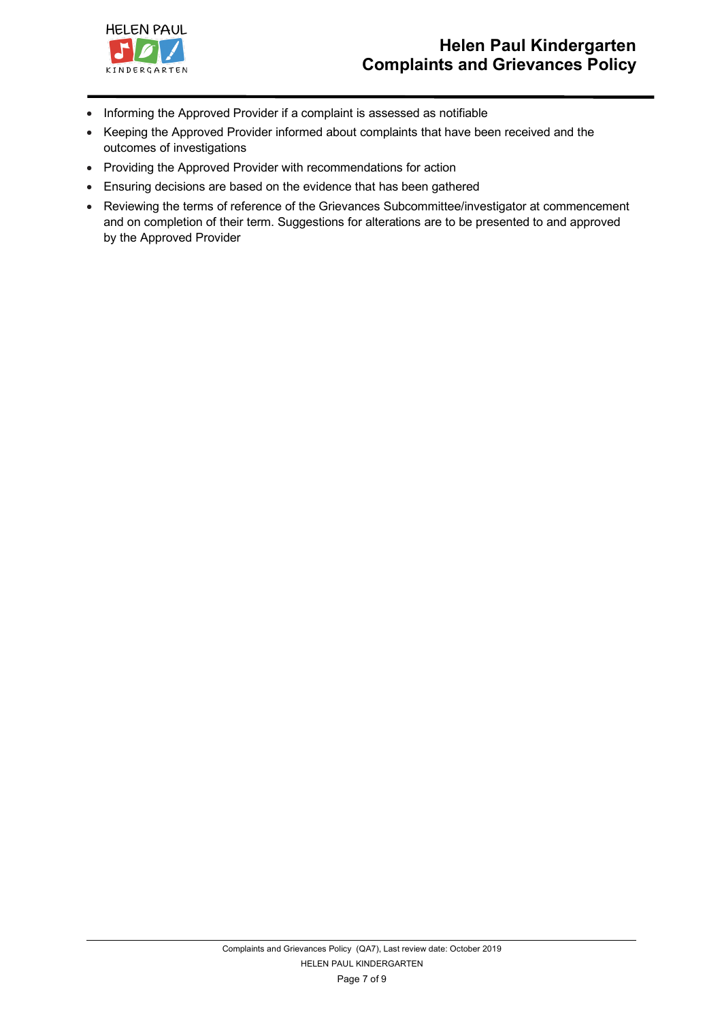

- Informing the Approved Provider if a complaint is assessed as notifiable
- Keeping the Approved Provider informed about complaints that have been received and the outcomes of investigations
- Providing the Approved Provider with recommendations for action
- Ensuring decisions are based on the evidence that has been gathered
- Reviewing the terms of reference of the Grievances Subcommittee/investigator at commencement and on completion of their term. Suggestions for alterations are to be presented to and approved by the Approved Provider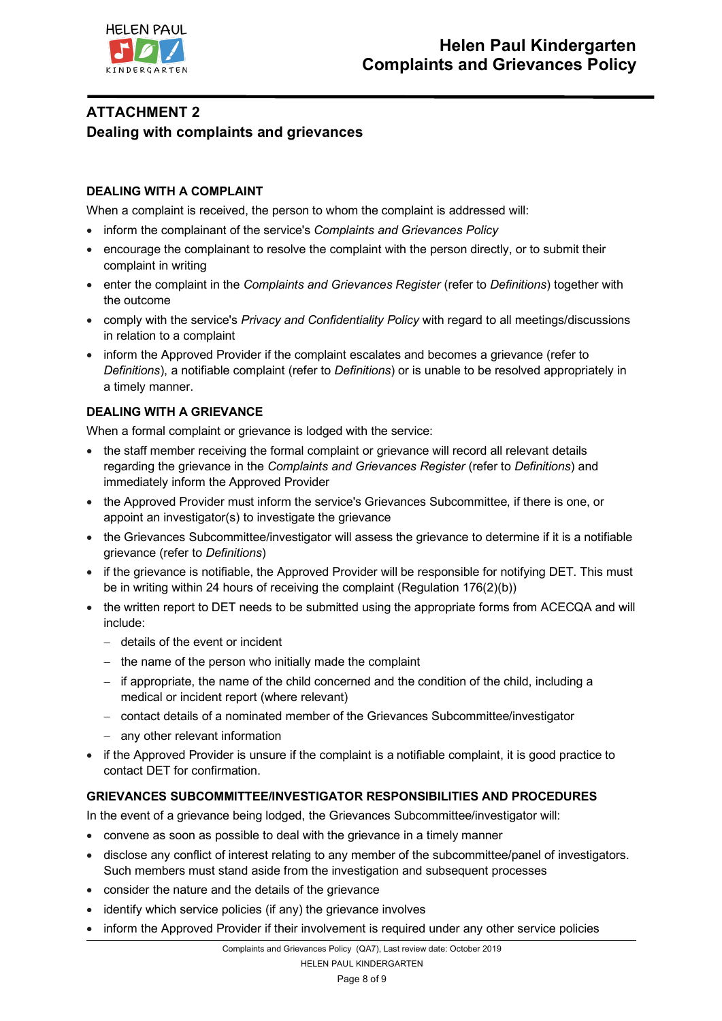

# **ATTACHMENT 2 Dealing with complaints and grievances**

### **DEALING WITH A COMPLAINT**

When a complaint is received, the person to whom the complaint is addressed will:

- inform the complainant of the service's *Complaints and Grievances Policy*
- encourage the complainant to resolve the complaint with the person directly, or to submit their complaint in writing
- enter the complaint in the *Complaints and Grievances Register* (refer to *Definitions*) together with the outcome
- comply with the service's *Privacy and Confidentiality Policy* with regard to all meetings/discussions in relation to a complaint
- inform the Approved Provider if the complaint escalates and becomes a grievance (refer to *Definitions*), a notifiable complaint (refer to *Definitions*) or is unable to be resolved appropriately in a timely manner.

### **DEALING WITH A GRIEVANCE**

When a formal complaint or grievance is lodged with the service:

- the staff member receiving the formal complaint or grievance will record all relevant details regarding the grievance in the *Complaints and Grievances Register* (refer to *Definitions*) and immediately inform the Approved Provider
- the Approved Provider must inform the service's Grievances Subcommittee, if there is one, or appoint an investigator(s) to investigate the grievance
- the Grievances Subcommittee/investigator will assess the grievance to determine if it is a notifiable grievance (refer to *Definitions*)
- if the grievance is notifiable, the Approved Provider will be responsible for notifying DET. This must be in writing within 24 hours of receiving the complaint (Regulation 176(2)(b))
- the written report to DET needs to be submitted using the appropriate forms from ACECQA and will include:
	- details of the event or incident
	- the name of the person who initially made the complaint
	- if appropriate, the name of the child concerned and the condition of the child, including a medical or incident report (where relevant)
	- contact details of a nominated member of the Grievances Subcommittee/investigator
	- any other relevant information
- if the Approved Provider is unsure if the complaint is a notifiable complaint, it is good practice to contact DET for confirmation.

### **GRIEVANCES SUBCOMMITTEE/INVESTIGATOR RESPONSIBILITIES AND PROCEDURES**

In the event of a grievance being lodged, the Grievances Subcommittee/investigator will:

- convene as soon as possible to deal with the grievance in a timely manner
- disclose any conflict of interest relating to any member of the subcommittee/panel of investigators. Such members must stand aside from the investigation and subsequent processes
- consider the nature and the details of the grievance
- identify which service policies (if any) the grievance involves
- inform the Approved Provider if their involvement is required under any other service policies